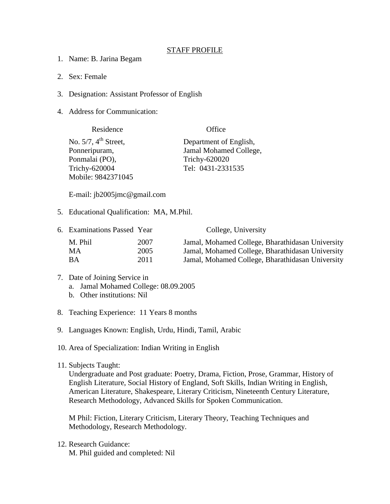## STAFF PROFILE

- 1. Name: B. Jarina Begam
- 2. Sex: Female
- 3. Designation: Assistant Professor of English
- 4. Address for Communication:

| Residence                           | Office                 |
|-------------------------------------|------------------------|
| No. $5/7$ , $4^{\text{th}}$ Street, | Department of English, |
| Ponneripuram,                       | Jamal Mohamed College, |
| Ponmalai (PO),                      | Trichy-620020          |
| Trichy-620004                       | Tel: 0431-2331535      |
| Mobile: 9842371045                  |                        |

E-mail: jb2005jmc@gmail.com

5. Educational Qualification: MA, M.Phil.

| 6. Examinations Passed Year |      | College, University                              |
|-----------------------------|------|--------------------------------------------------|
| M. Phil                     | 2007 | Jamal, Mohamed College, Bharathidasan University |
| MA                          | 2005 | Jamal, Mohamed College, Bharathidasan University |
| ВA                          | 2011 | Jamal, Mohamed College, Bharathidasan University |

- 7. Date of Joining Service in a. Jamal Mohamed College: 08.09.2005
	- b. Other institutions: Nil
- 8. Teaching Experience: 11 Years 8 months
- 9. Languages Known: English, Urdu, Hindi, Tamil, Arabic
- 10. Area of Specialization: Indian Writing in English
- 11. Subjects Taught:

Undergraduate and Post graduate: Poetry, Drama, Fiction, Prose, Grammar, History of English Literature, Social History of England, Soft Skills, Indian Writing in English, American Literature, Shakespeare, Literary Criticism, Nineteenth Century Literature, Research Methodology, Advanced Skills for Spoken Communication.

M Phil: Fiction, Literary Criticism, Literary Theory, Teaching Techniques and Methodology, Research Methodology.

12. Research Guidance: M. Phil guided and completed: Nil